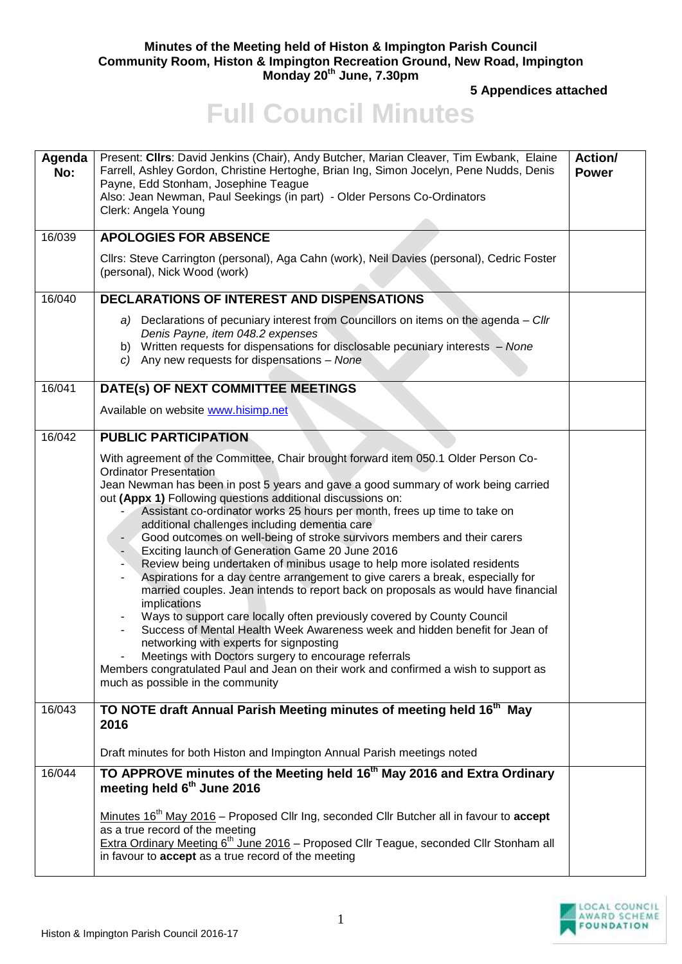## **Minutes of the Meeting held of Histon & Impington Parish Council Community Room, Histon & Impington Recreation Ground, New Road, Impington Monday 20th June, 7.30pm**

**5 Appendices attached** 

## **Full Council Minutes**

| Agenda<br>No: | Present: Clirs: David Jenkins (Chair), Andy Butcher, Marian Cleaver, Tim Ewbank, Elaine<br>Farrell, Ashley Gordon, Christine Hertoghe, Brian Ing, Simon Jocelyn, Pene Nudds, Denis<br>Payne, Edd Stonham, Josephine Teague<br>Also: Jean Newman, Paul Seekings (in part) - Older Persons Co-Ordinators<br>Clerk: Angela Young                                                                                                                                                                                                                                                                                                                                                                                                                                                                                                                                                                                                                                                                                                                                                                                                                                                                       | Action/<br><b>Power</b> |
|---------------|-----------------------------------------------------------------------------------------------------------------------------------------------------------------------------------------------------------------------------------------------------------------------------------------------------------------------------------------------------------------------------------------------------------------------------------------------------------------------------------------------------------------------------------------------------------------------------------------------------------------------------------------------------------------------------------------------------------------------------------------------------------------------------------------------------------------------------------------------------------------------------------------------------------------------------------------------------------------------------------------------------------------------------------------------------------------------------------------------------------------------------------------------------------------------------------------------------|-------------------------|
| 16/039        | <b>APOLOGIES FOR ABSENCE</b>                                                                                                                                                                                                                                                                                                                                                                                                                                                                                                                                                                                                                                                                                                                                                                                                                                                                                                                                                                                                                                                                                                                                                                        |                         |
|               | Cllrs: Steve Carrington (personal), Aga Cahn (work), Neil Davies (personal), Cedric Foster<br>(personal), Nick Wood (work)                                                                                                                                                                                                                                                                                                                                                                                                                                                                                                                                                                                                                                                                                                                                                                                                                                                                                                                                                                                                                                                                          |                         |
| 16/040        | <b>DECLARATIONS OF INTEREST AND DISPENSATIONS</b>                                                                                                                                                                                                                                                                                                                                                                                                                                                                                                                                                                                                                                                                                                                                                                                                                                                                                                                                                                                                                                                                                                                                                   |                         |
|               | a) Declarations of pecuniary interest from Councillors on items on the agenda - Cllr<br>Denis Payne, item 048.2 expenses<br>b) Written requests for dispensations for disclosable pecuniary interests - None<br>c) Any new requests for dispensations - None                                                                                                                                                                                                                                                                                                                                                                                                                                                                                                                                                                                                                                                                                                                                                                                                                                                                                                                                        |                         |
| 16/041        | DATE(s) OF NEXT COMMITTEE MEETINGS                                                                                                                                                                                                                                                                                                                                                                                                                                                                                                                                                                                                                                                                                                                                                                                                                                                                                                                                                                                                                                                                                                                                                                  |                         |
|               | Available on website www.hisimp.net                                                                                                                                                                                                                                                                                                                                                                                                                                                                                                                                                                                                                                                                                                                                                                                                                                                                                                                                                                                                                                                                                                                                                                 |                         |
| 16/042        | <b>PUBLIC PARTICIPATION</b>                                                                                                                                                                                                                                                                                                                                                                                                                                                                                                                                                                                                                                                                                                                                                                                                                                                                                                                                                                                                                                                                                                                                                                         |                         |
|               | With agreement of the Committee, Chair brought forward item 050.1 Older Person Co-<br><b>Ordinator Presentation</b><br>Jean Newman has been in post 5 years and gave a good summary of work being carried<br>out (Appx 1) Following questions additional discussions on:<br>Assistant co-ordinator works 25 hours per month, frees up time to take on<br>additional challenges including dementia care<br>Good outcomes on well-being of stroke survivors members and their carers<br>Exciting launch of Generation Game 20 June 2016<br>Review being undertaken of minibus usage to help more isolated residents<br>Aspirations for a day centre arrangement to give carers a break, especially for<br>married couples. Jean intends to report back on proposals as would have financial<br>implications<br>Ways to support care locally often previously covered by County Council<br>Success of Mental Health Week Awareness week and hidden benefit for Jean of<br>networking with experts for signposting<br>Meetings with Doctors surgery to encourage referrals<br>Members congratulated Paul and Jean on their work and confirmed a wish to support as<br>much as possible in the community |                         |
| 16/043        | TO NOTE draft Annual Parish Meeting minutes of meeting held 16 <sup>th</sup> May<br>2016<br>Draft minutes for both Histon and Impington Annual Parish meetings noted                                                                                                                                                                                                                                                                                                                                                                                                                                                                                                                                                                                                                                                                                                                                                                                                                                                                                                                                                                                                                                |                         |
| 16/044        | TO APPROVE minutes of the Meeting held 16 <sup>th</sup> May 2016 and Extra Ordinary<br>meeting held 6 <sup>th</sup> June 2016<br>Minutes 16 <sup>th</sup> May 2016 - Proposed Cllr Ing, seconded Cllr Butcher all in favour to accept<br>as a true record of the meeting<br>Extra Ordinary Meeting 6 <sup>th</sup> June 2016 - Proposed Cllr Teague, seconded Cllr Stonham all                                                                                                                                                                                                                                                                                                                                                                                                                                                                                                                                                                                                                                                                                                                                                                                                                      |                         |
|               | in favour to accept as a true record of the meeting                                                                                                                                                                                                                                                                                                                                                                                                                                                                                                                                                                                                                                                                                                                                                                                                                                                                                                                                                                                                                                                                                                                                                 |                         |

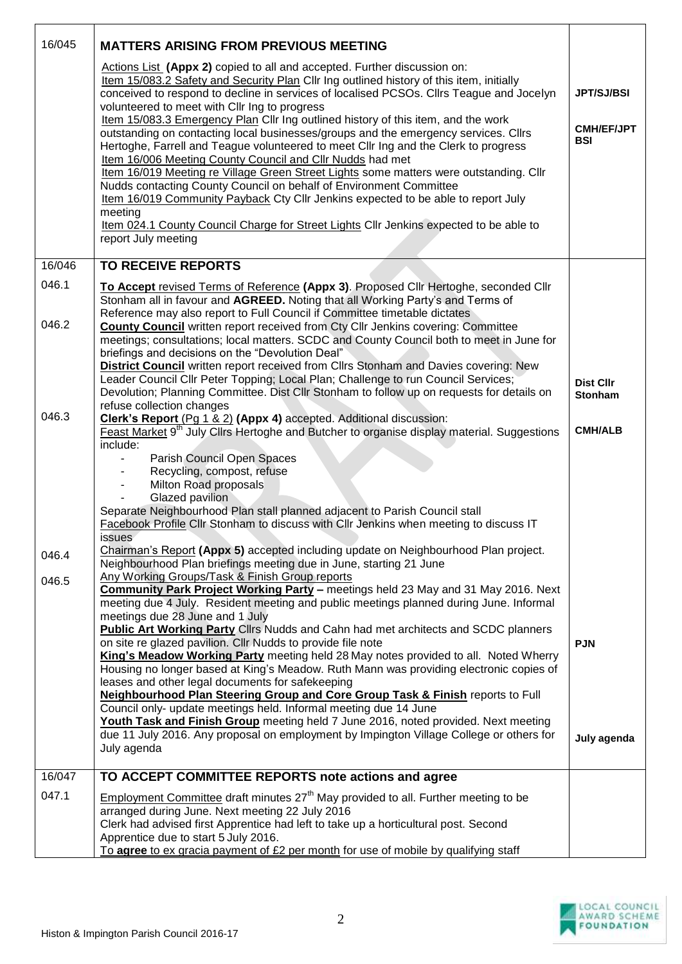| 16/045 | <b>MATTERS ARISING FROM PREVIOUS MEETING</b>                                                                                                                                                                                                                                                                                                                                                                                                                                                                                                                                                                                                                                                                                                                                                                                                                                                                                                                                                                                       |                                                      |
|--------|------------------------------------------------------------------------------------------------------------------------------------------------------------------------------------------------------------------------------------------------------------------------------------------------------------------------------------------------------------------------------------------------------------------------------------------------------------------------------------------------------------------------------------------------------------------------------------------------------------------------------------------------------------------------------------------------------------------------------------------------------------------------------------------------------------------------------------------------------------------------------------------------------------------------------------------------------------------------------------------------------------------------------------|------------------------------------------------------|
|        | Actions List (Appx 2) copied to all and accepted. Further discussion on:<br>Item 15/083.2 Safety and Security Plan Cllr Ing outlined history of this item, initially<br>conceived to respond to decline in services of localised PCSOs. Cllrs Teague and Jocelyn<br>volunteered to meet with Cllr Ing to progress<br>Item 15/083.3 Emergency Plan Cllr Ing outlined history of this item, and the work<br>outstanding on contacting local businesses/groups and the emergency services. ClIrs<br>Hertoghe, Farrell and Teague volunteered to meet Cllr Ing and the Clerk to progress<br>Item 16/006 Meeting County Council and Cllr Nudds had met<br>Item 16/019 Meeting re Village Green Street Lights some matters were outstanding. Cllr<br>Nudds contacting County Council on behalf of Environment Committee<br>Item 16/019 Community Payback Cty Cllr Jenkins expected to be able to report July<br>meeting<br>Item 024.1 County Council Charge for Street Lights Cllr Jenkins expected to be able to<br>report July meeting | <b>JPT/SJ/BSI</b><br><b>CMH/EF/JPT</b><br><b>BSI</b> |
| 16/046 | <b>TO RECEIVE REPORTS</b>                                                                                                                                                                                                                                                                                                                                                                                                                                                                                                                                                                                                                                                                                                                                                                                                                                                                                                                                                                                                          |                                                      |
| 046.1  | To Accept revised Terms of Reference (Appx 3). Proposed Cllr Hertoghe, seconded Cllr<br>Stonham all in favour and AGREED. Noting that all Working Party's and Terms of<br>Reference may also report to Full Council if Committee timetable dictates                                                                                                                                                                                                                                                                                                                                                                                                                                                                                                                                                                                                                                                                                                                                                                                |                                                      |
| 046.2  | <b>County Council</b> written report received from Cty Cllr Jenkins covering: Committee<br>meetings; consultations; local matters. SCDC and County Council both to meet in June for<br>briefings and decisions on the "Devolution Deal"<br><b>District Council</b> written report received from Cllrs Stonham and Davies covering: New<br>Leader Council Cllr Peter Topping; Local Plan; Challenge to run Council Services;<br>Devolution; Planning Committee. Dist Cllr Stonham to follow up on requests for details on                                                                                                                                                                                                                                                                                                                                                                                                                                                                                                           | <b>Dist Cllr</b><br><b>Stonham</b>                   |
| 046.3  | refuse collection changes<br>Clerk's Report (Pg 1 & 2) (Appx 4) accepted. Additional discussion:<br>Feast Market 9 <sup>th</sup> July Clirs Hertoghe and Butcher to organise display material. Suggestions<br>include:                                                                                                                                                                                                                                                                                                                                                                                                                                                                                                                                                                                                                                                                                                                                                                                                             | <b>CMH/ALB</b>                                       |
|        | Parish Council Open Spaces<br>Recycling, compost, refuse<br>Milton Road proposals<br>Glazed pavilion<br>Separate Neighbourhood Plan stall planned adjacent to Parish Council stall<br>Facebook Profile Cllr Stonham to discuss with Cllr Jenkins when meeting to discuss IT<br>issues                                                                                                                                                                                                                                                                                                                                                                                                                                                                                                                                                                                                                                                                                                                                              |                                                      |
| 046.4  | Chairman's Report (Appx 5) accepted including update on Neighbourhood Plan project.<br>Neighbourhood Plan briefings meeting due in June, starting 21 June                                                                                                                                                                                                                                                                                                                                                                                                                                                                                                                                                                                                                                                                                                                                                                                                                                                                          |                                                      |
| 046.5  | Any Working Groups/Task & Finish Group reports<br>Community Park Project Working Party - meetings held 23 May and 31 May 2016. Next<br>meeting due 4 July. Resident meeting and public meetings planned during June. Informal<br>meetings due 28 June and 1 July<br><b>Public Art Working Party Clirs Nudds and Cahn had met architects and SCDC planners</b><br>on site re glazed pavilion. Cllr Nudds to provide file note<br>King's Meadow Working Party meeting held 28 May notes provided to all. Noted Wherry<br>Housing no longer based at King's Meadow. Ruth Mann was providing electronic copies of<br>leases and other legal documents for safekeeping<br><b>Neighbourhood Plan Steering Group and Core Group Task &amp; Finish reports to Full</b><br>Council only- update meetings held. Informal meeting due 14 June<br>Youth Task and Finish Group meeting held 7 June 2016, noted provided. Next meeting<br>due 11 July 2016. Any proposal on employment by Impington Village College or others for<br>July agenda | <b>PJN</b><br>July agenda                            |
| 16/047 | TO ACCEPT COMMITTEE REPORTS note actions and agree                                                                                                                                                                                                                                                                                                                                                                                                                                                                                                                                                                                                                                                                                                                                                                                                                                                                                                                                                                                 |                                                      |
| 047.1  | <b>Employment Committee draft minutes 27<sup>th</sup> May provided to all. Further meeting to be</b><br>arranged during June. Next meeting 22 July 2016<br>Clerk had advised first Apprentice had left to take up a horticultural post. Second<br>Apprentice due to start 5 July 2016.<br>To agree to ex gracia payment of £2 per month for use of mobile by qualifying staff                                                                                                                                                                                                                                                                                                                                                                                                                                                                                                                                                                                                                                                      |                                                      |

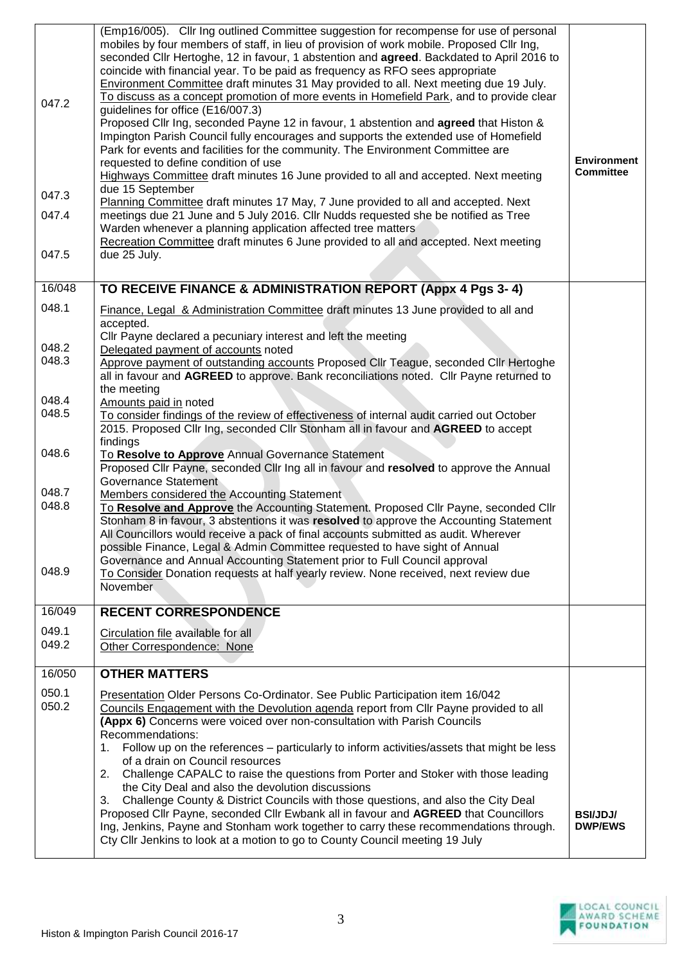| 047.2<br>047.3 | (Emp16/005). Cllr Ing outlined Committee suggestion for recompense for use of personal<br>mobiles by four members of staff, in lieu of provision of work mobile. Proposed Cllr Ing,<br>seconded Cllr Hertoghe, 12 in favour, 1 abstention and agreed. Backdated to April 2016 to<br>coincide with financial year. To be paid as frequency as RFO sees appropriate<br>Environment Committee draft minutes 31 May provided to all. Next meeting due 19 July.<br>To discuss as a concept promotion of more events in Homefield Park, and to provide clear<br>guidelines for office (E16/007.3)<br>Proposed Cllr Ing, seconded Payne 12 in favour, 1 abstention and agreed that Histon &<br>Impington Parish Council fully encourages and supports the extended use of Homefield<br>Park for events and facilities for the community. The Environment Committee are<br>requested to define condition of use<br>Highways Committee draft minutes 16 June provided to all and accepted. Next meeting<br>due 15 September | <b>Environment</b><br><b>Committee</b> |
|----------------|--------------------------------------------------------------------------------------------------------------------------------------------------------------------------------------------------------------------------------------------------------------------------------------------------------------------------------------------------------------------------------------------------------------------------------------------------------------------------------------------------------------------------------------------------------------------------------------------------------------------------------------------------------------------------------------------------------------------------------------------------------------------------------------------------------------------------------------------------------------------------------------------------------------------------------------------------------------------------------------------------------------------|----------------------------------------|
| 047.4          | Planning Committee draft minutes 17 May, 7 June provided to all and accepted. Next<br>meetings due 21 June and 5 July 2016. Cllr Nudds requested she be notified as Tree<br>Warden whenever a planning application affected tree matters<br>Recreation Committee draft minutes 6 June provided to all and accepted. Next meeting                                                                                                                                                                                                                                                                                                                                                                                                                                                                                                                                                                                                                                                                                   |                                        |
| 047.5          | due 25 July.                                                                                                                                                                                                                                                                                                                                                                                                                                                                                                                                                                                                                                                                                                                                                                                                                                                                                                                                                                                                       |                                        |
| 16/048         | TO RECEIVE FINANCE & ADMINISTRATION REPORT (Appx 4 Pgs 3-4)                                                                                                                                                                                                                                                                                                                                                                                                                                                                                                                                                                                                                                                                                                                                                                                                                                                                                                                                                        |                                        |
| 048.1          | Finance, Legal & Administration Committee draft minutes 13 June provided to all and<br>accepted.<br>Cllr Payne declared a pecuniary interest and left the meeting                                                                                                                                                                                                                                                                                                                                                                                                                                                                                                                                                                                                                                                                                                                                                                                                                                                  |                                        |
| 048.2          | Delegated payment of accounts noted                                                                                                                                                                                                                                                                                                                                                                                                                                                                                                                                                                                                                                                                                                                                                                                                                                                                                                                                                                                |                                        |
| 048.3          | Approve payment of outstanding accounts Proposed Cllr Teague, seconded Cllr Hertoghe<br>all in favour and AGREED to approve. Bank reconciliations noted. Cllr Payne returned to<br>the meeting                                                                                                                                                                                                                                                                                                                                                                                                                                                                                                                                                                                                                                                                                                                                                                                                                     |                                        |
| 048.4<br>048.5 | Amounts paid in noted                                                                                                                                                                                                                                                                                                                                                                                                                                                                                                                                                                                                                                                                                                                                                                                                                                                                                                                                                                                              |                                        |
|                | To consider findings of the review of effectiveness of internal audit carried out October<br>2015. Proposed Cllr Ing, seconded Cllr Stonham all in favour and AGREED to accept<br>findings                                                                                                                                                                                                                                                                                                                                                                                                                                                                                                                                                                                                                                                                                                                                                                                                                         |                                        |
| 048.6          | To Resolve to Approve Annual Governance Statement<br>Proposed Cllr Payne, seconded Cllr Ing all in favour and resolved to approve the Annual<br>Governance Statement                                                                                                                                                                                                                                                                                                                                                                                                                                                                                                                                                                                                                                                                                                                                                                                                                                               |                                        |
| 048.7<br>048.8 | Members considered the Accounting Statement<br>To Resolve and Approve the Accounting Statement. Proposed Cllr Payne, seconded Cllr<br>Stonham 8 in favour, 3 abstentions it was resolved to approve the Accounting Statement<br>All Councillors would receive a pack of final accounts submitted as audit. Wherever<br>possible Finance, Legal & Admin Committee requested to have sight of Annual<br>Governance and Annual Accounting Statement prior to Full Council approval                                                                                                                                                                                                                                                                                                                                                                                                                                                                                                                                    |                                        |
| 048.9          | To Consider Donation requests at half yearly review. None received, next review due<br>November.                                                                                                                                                                                                                                                                                                                                                                                                                                                                                                                                                                                                                                                                                                                                                                                                                                                                                                                   |                                        |
| 16/049         | <b>RECENT CORRESPONDENCE</b>                                                                                                                                                                                                                                                                                                                                                                                                                                                                                                                                                                                                                                                                                                                                                                                                                                                                                                                                                                                       |                                        |
| 049.1<br>049.2 | Circulation file available for all<br>Other Correspondence: None                                                                                                                                                                                                                                                                                                                                                                                                                                                                                                                                                                                                                                                                                                                                                                                                                                                                                                                                                   |                                        |
| 16/050         | <b>OTHER MATTERS</b>                                                                                                                                                                                                                                                                                                                                                                                                                                                                                                                                                                                                                                                                                                                                                                                                                                                                                                                                                                                               |                                        |
| 050.1<br>050.2 | Presentation Older Persons Co-Ordinator. See Public Participation item 16/042<br>Councils Engagement with the Devolution agenda report from Cllr Payne provided to all<br>(Appx 6) Concerns were voiced over non-consultation with Parish Councils<br>Recommendations:<br>Follow up on the references – particularly to inform activities/assets that might be less<br>1.<br>of a drain on Council resources<br>Challenge CAPALC to raise the questions from Porter and Stoker with those leading<br>2.<br>the City Deal and also the devolution discussions                                                                                                                                                                                                                                                                                                                                                                                                                                                       |                                        |
|                | Challenge County & District Councils with those questions, and also the City Deal<br>3.<br>Proposed Cllr Payne, seconded Cllr Ewbank all in favour and AGREED that Councillors<br>Ing, Jenkins, Payne and Stonham work together to carry these recommendations through.<br>Cty Cllr Jenkins to look at a motion to go to County Council meeting 19 July                                                                                                                                                                                                                                                                                                                                                                                                                                                                                                                                                                                                                                                            | <b>BSI/JDJ/</b><br><b>DWP/EWS</b>      |